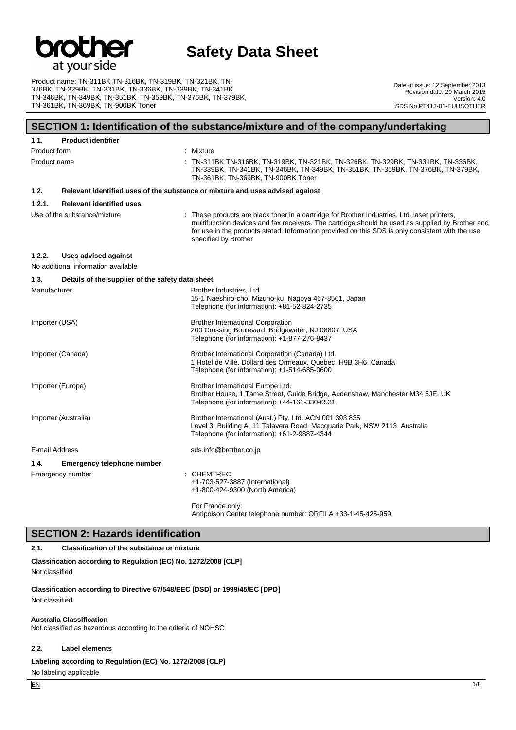

Product name: TN-311BK TN-316BK, TN-319BK, TN-321BK, TN-326BK, TN-329BK, TN-331BK, TN-336BK, TN-339BK, TN-341BK, TN-346BK, TN-349BK, TN-351BK, TN-359BK, TN-376BK, TN-379BK, TN-361BK, TN-369BK, TN-900BK Toner

Date of issue: 12 September 2013 Revision date: 20 March 2015 Version: 4.0 SDS No:PT413-01-EUUSOTHER

## **SECTION 1: Identification of the substance/mixture and of the company/undertaking**

| 1.1.           | <b>Product identifier</b>                        |                                                                                                                                                                                                                                                                                                                              |
|----------------|--------------------------------------------------|------------------------------------------------------------------------------------------------------------------------------------------------------------------------------------------------------------------------------------------------------------------------------------------------------------------------------|
| Product form   |                                                  | : Mixture                                                                                                                                                                                                                                                                                                                    |
| Product name   |                                                  | : TN-311BK TN-316BK, TN-319BK, TN-321BK, TN-326BK, TN-329BK, TN-331BK, TN-336BK,<br>TN-339BK, TN-341BK, TN-346BK, TN-349BK, TN-351BK, TN-359BK, TN-376BK, TN-379BK,<br>TN-361BK, TN-369BK, TN-900BK Toner                                                                                                                    |
| 1.2.           |                                                  | Relevant identified uses of the substance or mixture and uses advised against                                                                                                                                                                                                                                                |
| 1.2.1.         | <b>Relevant identified uses</b>                  |                                                                                                                                                                                                                                                                                                                              |
|                | Use of the substance/mixture                     | : These products are black toner in a cartridge for Brother Industries, Ltd. laser printers,<br>multifunction devices and fax receivers. The cartridge should be used as supplied by Brother and<br>for use in the products stated. Information provided on this SDS is only consistent with the use<br>specified by Brother |
| 1.2.2.         | Uses advised against                             |                                                                                                                                                                                                                                                                                                                              |
|                | No additional information available              |                                                                                                                                                                                                                                                                                                                              |
| 1.3.           | Details of the supplier of the safety data sheet |                                                                                                                                                                                                                                                                                                                              |
| Manufacturer   |                                                  | Brother Industries, Ltd.<br>15-1 Naeshiro-cho, Mizuho-ku, Nagoya 467-8561, Japan<br>Telephone (for information): +81-52-824-2735                                                                                                                                                                                             |
| Importer (USA) |                                                  | <b>Brother International Corporation</b><br>200 Crossing Boulevard, Bridgewater, NJ 08807, USA<br>Telephone (for information): +1-877-276-8437                                                                                                                                                                               |
|                | Importer (Canada)                                | Brother International Corporation (Canada) Ltd.<br>1 Hotel de Ville, Dollard des Ormeaux, Quebec, H9B 3H6, Canada<br>Telephone (for information): +1-514-685-0600                                                                                                                                                            |
|                | Importer (Europe)                                | Brother International Europe Ltd.<br>Brother House, 1 Tame Street, Guide Bridge, Audenshaw, Manchester M34 5JE, UK<br>Telephone (for information): +44-161-330-6531                                                                                                                                                          |
|                | Importer (Australia)                             | Brother International (Aust.) Pty. Ltd. ACN 001 393 835<br>Level 3, Building A, 11 Talavera Road, Macquarie Park, NSW 2113, Australia<br>Telephone (for information): +61-2-9887-4344                                                                                                                                        |
| E-mail Address |                                                  | sds.info@brother.co.jp                                                                                                                                                                                                                                                                                                       |
| 1.4.           | <b>Emergency telephone number</b>                |                                                                                                                                                                                                                                                                                                                              |
|                | Emergency number                                 | : CHEMTREC<br>+1-703-527-3887 (International)<br>+1-800-424-9300 (North America)                                                                                                                                                                                                                                             |
|                |                                                  | For France only:                                                                                                                                                                                                                                                                                                             |

Antipoison Center telephone number: ORFILA +33-1-45-425-959

## **SECTION 2: Hazards identification**

### **2.1. Classification of the substance or mixture**

**Classification according to Regulation (EC) No. 1272/2008 [CLP]** Not classified

**Classification according to Directive 67/548/EEC [DSD] or 1999/45/EC [DPD]** Not classified

### **Australia Classification**

Not classified as hazardous according to the criteria of NOHSC

### **2.2. Label elements**

**Labeling according to Regulation (EC) No. 1272/2008 [CLP]**

No labeling applicable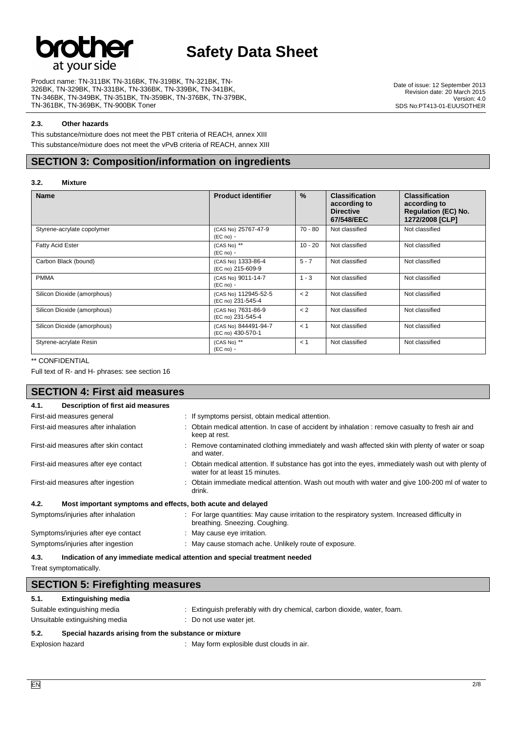

Product name: TN-311BK TN-316BK, TN-319BK, TN-321BK, TN-326BK, TN-329BK, TN-331BK, TN-336BK, TN-339BK, TN-341BK, TN-346BK, TN-349BK, TN-351BK, TN-359BK, TN-376BK, TN-379BK, TN-361BK, TN-369BK, TN-900BK Toner

Date of issue: 12 September 2013 Revision date: 20 March 2015 Version: 4.0 SDS No:PT413-01-EUUSOTHER

### **2.3. Other hazards**

This substance/mixture does not meet the PBT criteria of REACH, annex XIII

This substance/mixture does not meet the vPvB criteria of REACH, annex XIII

## **SECTION 3: Composition/information on ingredients**

### **3.2. Mixture**

| <b>Name</b>                 | <b>Product identifier</b>                 | $\%$      | <b>Classification</b><br>according to<br><b>Directive</b><br>67/548/EEC | <b>Classification</b><br>according to<br><b>Regulation (EC) No.</b><br>1272/2008 [CLP] |
|-----------------------------|-------------------------------------------|-----------|-------------------------------------------------------------------------|----------------------------------------------------------------------------------------|
| Styrene-acrylate copolymer  | (CAS No) 25767-47-9<br>$(EC no) -$        | 70 - 80   | Not classified                                                          | Not classified                                                                         |
| <b>Fatty Acid Ester</b>     | (CAS No) **<br>$(EC no) -$                | $10 - 20$ | Not classified                                                          | Not classified                                                                         |
| Carbon Black (bound)        | (CAS No) 1333-86-4<br>(EC no) 215-609-9   | $5 - 7$   | Not classified                                                          | Not classified                                                                         |
| <b>PMMA</b>                 | (CAS No) 9011-14-7<br>$(EC no) -$         | $1 - 3$   | Not classified                                                          | Not classified                                                                         |
| Silicon Dioxide (amorphous) | (CAS No) 112945-52-5<br>(EC no) 231-545-4 | < 2       | Not classified                                                          | Not classified                                                                         |
| Silicon Dioxide (amorphous) | (CAS No) 7631-86-9<br>(EC no) 231-545-4   | < 2       | Not classified                                                          | Not classified                                                                         |
| Silicon Dioxide (amorphous) | (CAS No) 844491-94-7<br>(EC no) 430-570-1 | $\lt$ 1   | Not classified                                                          | Not classified                                                                         |
| Styrene-acrylate Resin      | (CAS No) **<br>$(EC no) -$                | $\leq$ 1  | Not classified                                                          | Not classified                                                                         |

### \*\* CONFIDENTIAL

Full text of R- and H- phrases: see section 16

| <b>SECTION 4: First aid measures</b>                                |                                                                                                                                     |  |
|---------------------------------------------------------------------|-------------------------------------------------------------------------------------------------------------------------------------|--|
| Description of first aid measures<br>4.1.                           |                                                                                                                                     |  |
| First-aid measures general                                          | : If symptoms persist, obtain medical attention.                                                                                    |  |
| First-aid measures after inhalation                                 | Obtain medical attention. In case of accident by inhalation : remove casualty to fresh air and<br>keep at rest.                     |  |
| First-aid measures after skin contact                               | Remove contaminated clothing immediately and wash affected skin with plenty of water or soap<br>and water.                          |  |
| First-aid measures after eye contact                                | Obtain medical attention. If substance has got into the eyes, immediately wash out with plenty of<br>water for at least 15 minutes. |  |
| First-aid measures after ingestion                                  | Obtain immediate medical attention. Wash out mouth with water and give 100-200 ml of water to<br>drink.                             |  |
| Most important symptoms and effects, both acute and delayed<br>4.2. |                                                                                                                                     |  |
| Symptoms/injuries after inhalation                                  | : For large quantities: May cause irritation to the respiratory system. Increased difficulty in<br>breathing. Sneezing. Coughing.   |  |
| Symptoms/injuries after eye contact                                 | : May cause eye irritation.                                                                                                         |  |
| Symptoms/injuries after ingestion                                   | : May cause stomach ache. Unlikely route of exposure.                                                                               |  |
| 4.3.                                                                | Indication of any immediate medical attention and special treatment needed                                                          |  |

Treat symptomatically.

| <b>SECTION 5: Firefighting measures</b> |                                                       |                                                                         |
|-----------------------------------------|-------------------------------------------------------|-------------------------------------------------------------------------|
| 5.1.                                    | <b>Extinguishing media</b>                            |                                                                         |
|                                         | Suitable extinguishing media                          | : Extinguish preferably with dry chemical, carbon dioxide, water, foam. |
|                                         | Unsuitable extinguishing media                        | : Do not use water jet.                                                 |
| 5.2.                                    | Special hazards arising from the substance or mixture |                                                                         |
| Explosion hazard                        |                                                       | : May form explosible dust clouds in air.                               |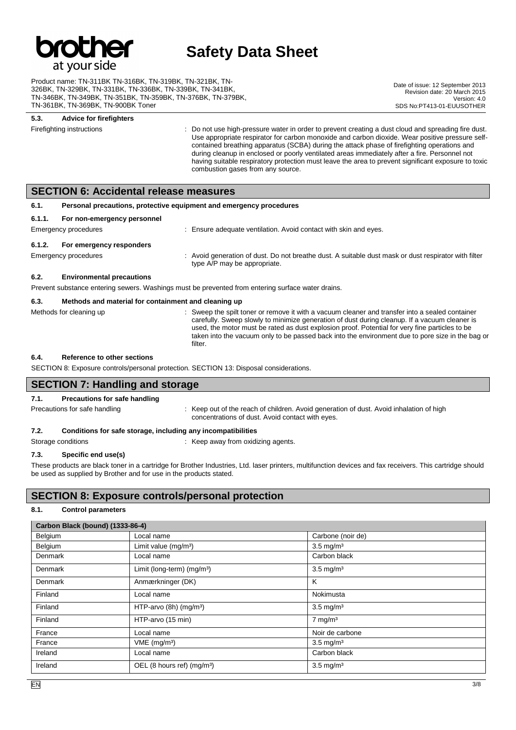

Product name: TN-311BK TN-316BK, TN-319BK, TN-321BK, TN-326BK, TN-329BK, TN-331BK, TN-336BK, TN-339BK, TN-341BK, TN-346BK, TN-349BK, TN-351BK, TN-359BK, TN-376BK, TN-379BK, TN-361BK, TN-369BK, TN-900BK Toner

Date of issue: 12 September 2013 Revision date: 20 March 2015 Version: 4.0 SDS No: PT413-01-EUUSOTHER

### **5.3. Advice for firefighters**

Firefighting instructions **interpresent of the Constant Constant** Do not use high-pressure water in order to prevent creating a dust cloud and spreading fire dust. Use appropriate respirator for carbon monoxide and carbon dioxide. Wear positive pressure selfcontained breathing apparatus (SCBA) during the attack phase of firefighting operations and during cleanup in enclosed or poorly ventilated areas immediately after a fire. Personnel not having suitable respiratory protection must leave the area to prevent significant exposure to toxic combustion gases from any source.

### **SECTION 6: Accidental release measures**

| 6.1.   | Personal precautions, protective equipment and emergency procedures                                                                   |                                                                                                                                      |
|--------|---------------------------------------------------------------------------------------------------------------------------------------|--------------------------------------------------------------------------------------------------------------------------------------|
| 6.1.1. | For non-emergency personnel<br>Emergency procedures                                                                                   | : Ensure adequate ventilation. Avoid contact with skin and eyes.                                                                     |
| 6.1.2. | For emergency responders<br>Emergency procedures                                                                                      | : Avoid generation of dust. Do not breathe dust. A suitable dust mask or dust respirator with filter<br>type A/P may be appropriate. |
| 6.2.   | <b>Environmental precautions</b><br>Prevent substance entering sewers. Washings must be prevented from entering surface water drains. |                                                                                                                                      |
| 6.3.   | Methods and material for containment and cleaning up                                                                                  |                                                                                                                                      |

#### Methods for cleaning up example of the spilt toner or remove it with a vacuum cleaner and transfer into a sealed container carefully. Sweep slowly to minimize generation of dust during cleanup. If a vacuum cleaner is used, the motor must be rated as dust explosion proof. Potential for very fine particles to be taken into the vacuum only to be passed back into the environment due to pore size in the bag or filter.

### **6.4. Reference to other sections**

SECTION 8: Exposure controls/personal protection. SECTION 13: Disposal considerations.

## **SECTION 7: Handling and storage**

### **7.1. Precautions for safe handling**

Precautions for safe handling state is a state of the reach of children. Avoid generation of dust. Avoid inhalation of high concentrations of dust. Avoid contact with eyes.

### **7.2. Conditions for safe storage, including any incompatibilities**

Storage conditions **Storage conditions** : Keep away from oxidizing agents.

## **7.3. Specific end use(s)**

These products are black toner in a cartridge for Brother Industries, Ltd. laser printers, multifunction devices and fax receivers. This cartridge should be used as supplied by Brother and for use in the products stated.

## **SECTION 8: Exposure controls/personal protection**

### **8.1. Control parameters**

| Carbon Black (bound) (1333-86-4) |                                        |                       |
|----------------------------------|----------------------------------------|-----------------------|
| Belgium                          | Local name                             | Carbone (noir de)     |
| Belgium                          | Limit value $(mg/m3)$                  | $3.5 \text{ mg/m}^3$  |
| Denmark                          | Local name                             | Carbon black          |
| Denmark                          | Limit (long-term) (mg/m <sup>3</sup> ) | $3.5 \text{ mg/m}^3$  |
| Denmark                          | Anmærkninger (DK)                      | К                     |
| Finland                          | Local name                             | Nokimusta             |
| Finland                          | HTP-arvo $(8h)$ (mg/m <sup>3</sup> )   | $3.5 \text{ mg/m}^3$  |
| Finland                          | HTP-arvo (15 min)                      | $7$ mg/m <sup>3</sup> |
| France                           | Local name                             | Noir de carbone       |
| France                           | $VME$ (mg/m <sup>3</sup> )             | $3.5 \text{ mg/m}^3$  |
| Ireland                          | Local name                             | Carbon black          |
| Ireland                          | OEL (8 hours ref) (mg/m <sup>3</sup> ) | $3.5 \text{ mg/m}^3$  |

m.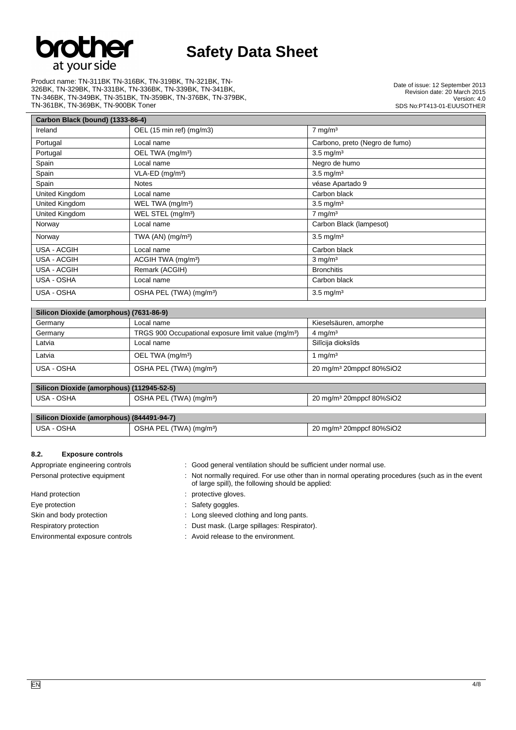

Product name: TN-311BK TN-316BK, TN-319BK, TN-321BK, TN-326BK, TN-329BK, TN-331BK, TN-336BK, TN-339BK, TN-341BK, TN-346BK, TN-349BK, TN-351BK, TN-359BK, TN-376BK, TN-379BK, TN-361BK, TN-369BK, TN-900BK Toner

Date of issue: 12 September 2013 Revision date: 20 March 2015 Version: 4.0 SDS No:PT413-01-EUUSOTHER

| Carbon Black (bound) (1333-86-4) |                                     |                                |
|----------------------------------|-------------------------------------|--------------------------------|
| Ireland                          | OEL (15 min ref) (mg/m3)            | $7 \text{ mg/m}^3$             |
| Portugal                         | Local name                          | Carbono, preto (Negro de fumo) |
| Portugal                         | OEL TWA (mg/m <sup>3</sup> )        | $3.5 \text{ mg/m}^3$           |
| Spain                            | Local name                          | Negro de humo                  |
| Spain                            | $VLA-ED$ (mg/m <sup>3</sup> )       | $3.5 \text{ mg/m}^3$           |
| Spain                            | <b>Notes</b>                        | véase Apartado 9               |
| United Kingdom                   | Local name                          | Carbon black                   |
| United Kingdom                   | WEL TWA (mg/m <sup>3</sup> )        | $3.5 \text{ mg/m}^3$           |
| United Kingdom                   | WEL STEL (mg/m <sup>3</sup> )       | $7$ mg/m <sup>3</sup>          |
| Norway                           | Local name                          | Carbon Black (lampesot)        |
| Norway                           | TWA (AN) (mg/m <sup>3</sup> )       | $3.5 \text{ mg/m}^3$           |
| USA - ACGIH                      | Local name                          | Carbon black                   |
| USA - ACGIH                      | ACGIH TWA (mg/m <sup>3</sup> )      | $3 \text{ mg/m}^3$             |
| USA - ACGIH                      | Remark (ACGIH)                      | <b>Bronchitis</b>              |
| USA - OSHA                       | Local name                          | Carbon black                   |
| USA - OSHA                       | OSHA PEL (TWA) (mg/m <sup>3</sup> ) | $3.5 \text{ mg/m}^3$           |

| Silicon Dioxide (amorphous) (7631-86-9) |                                                                 |                                      |  |  |
|-----------------------------------------|-----------------------------------------------------------------|--------------------------------------|--|--|
| Germany                                 | Local name                                                      | Kieselsäuren, amorphe                |  |  |
| Germany                                 | TRGS 900 Occupational exposure limit value (mg/m <sup>3</sup> ) | $4 \text{ mg/m}^3$                   |  |  |
| Latvia                                  | Local name                                                      | Silīcija dioksīds                    |  |  |
| Latvia                                  | OEL TWA (mg/m <sup>3</sup> )                                    | 1 mg/m $3$                           |  |  |
| USA - OSHA                              | OSHA PEL (TWA) (mg/m <sup>3</sup> )                             | 20 mg/m <sup>3</sup> 20mppcf 80%SiO2 |  |  |

### **Silicon Dioxide (amorphous) (112945-52-5)** USA - OSHA **DRA ACCESSION** OSHA PEL (TWA) (mg/m<sup>3</sup>) 20 mg/m<sup>3</sup> 20 mg/m<sup>3</sup> 20 mg/m<sup>3</sup> 20 mg/m<sup>3</sup> 20 mg/m<sup>3</sup> 20 mg/m<sup>3</sup> 20 mg/m<sup>3</sup> 20 mg/m<sup>3</sup> 20 mg/m<sup>3</sup> 20 mg/m<sup>3</sup> 20 mg/m<sup>3</sup> 20 mg/m<sup>3</sup> 20 mg/m<sup>3</sup> 20 mg/m<sup>3</sup> 20 mg/m<sup>3</sup> 20 mg

| Silicon Dioxide (amorphous) (844491-94-7) |                                     |                                      |
|-------------------------------------------|-------------------------------------|--------------------------------------|
| USA - OSHA                                | OSHA PEL (TWA) (mg/m <sup>3</sup> ) | 20 mg/m <sup>3</sup> 20mppcf 80%SiO2 |

### **8.2. Exposure controls**

- Appropriate engineering controls : Good general ventilation should be sufficient under normal use.
- Personal protective equipment : Not normally required. For use other than in normal operating procedures (such as in the event of large spill), the following should be applied:

- Hand protection **intervalse and protective gloves**.
- Eye protection **in the case of the CO** state state of the Safety goggles.

Skin and body protection : Long sleeved clothing and long pants.

- Respiratory protection : Dust mask. (Large spillages: Respirator).
- Environmental exposure controls : Avoid release to the environment.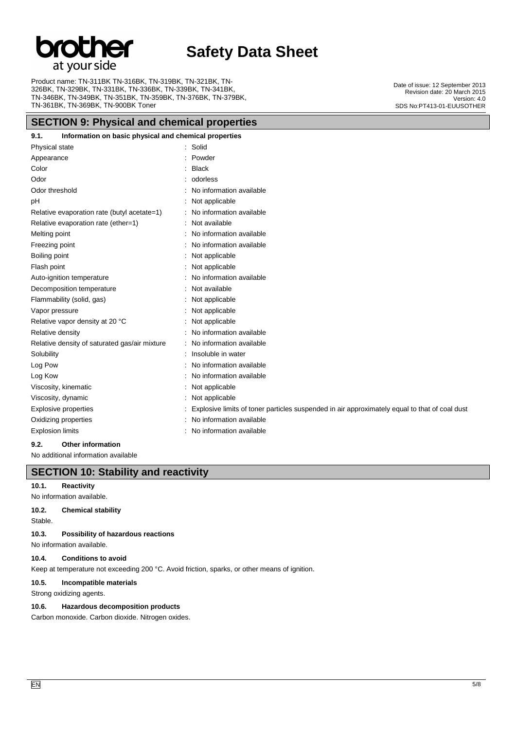

Product name: TN-311BK TN-316BK, TN-319BK, TN-321BK, TN-326BK, TN-329BK, TN-331BK, TN-336BK, TN-339BK, TN-341BK, TN-346BK, TN-349BK, TN-351BK, TN-359BK, TN-376BK, TN-379BK, TN-361BK, TN-369BK, TN-900BK Toner

## **SECTION 9: Physical and chemical properties**

### **9.1. Information on basic physical and chemical properties**

| <b>INTERNATION OF BROOK PHYSICAL AND CHEMICAL PLOPERIES</b> |                                                                                               |
|-------------------------------------------------------------|-----------------------------------------------------------------------------------------------|
| Physical state                                              | : Solid                                                                                       |
| Appearance                                                  | Powder                                                                                        |
| Color                                                       | <b>Black</b>                                                                                  |
| Odor                                                        | odorless                                                                                      |
| Odor threshold                                              | No information available                                                                      |
| pH                                                          | Not applicable                                                                                |
| Relative evaporation rate (butyl acetate=1)                 | No information available                                                                      |
| Relative evaporation rate (ether=1)                         | Not available                                                                                 |
| Melting point                                               | No information available                                                                      |
| Freezing point                                              | No information available                                                                      |
| Boiling point                                               | Not applicable                                                                                |
| Flash point                                                 | Not applicable                                                                                |
| Auto-ignition temperature                                   | No information available                                                                      |
| Decomposition temperature                                   | Not available                                                                                 |
| Flammability (solid, gas)                                   | Not applicable                                                                                |
| Vapor pressure                                              | Not applicable                                                                                |
| Relative vapor density at 20 °C                             | Not applicable                                                                                |
| Relative density                                            | No information available                                                                      |
| Relative density of saturated gas/air mixture               | No information available                                                                      |
| Solubility                                                  | Insoluble in water                                                                            |
| Log Pow                                                     | No information available                                                                      |
| Log Kow                                                     | No information available                                                                      |
| Viscosity, kinematic                                        | Not applicable                                                                                |
| Viscosity, dynamic                                          | Not applicable                                                                                |
| Explosive properties                                        | Explosive limits of toner particles suspended in air approximately equal to that of coal dust |
| Oxidizing properties                                        | No information available                                                                      |
| <b>Explosion limits</b>                                     | No information available                                                                      |
|                                                             |                                                                                               |

### **9.2. Other information**

No additional information available

# **SECTION 10: Stability and reactivity**

### **10.1. Reactivity**

No information available.

### **10.2. Chemical stability**

Stable.

**10.3. Possibility of hazardous reactions**

No information available.

### **10.4. Conditions to avoid**

Keep at temperature not exceeding 200 °C. Avoid friction, sparks, or other means of ignition.

### **10.5. Incompatible materials**

Strong oxidizing agents.

### **10.6. Hazardous decomposition products**

Carbon monoxide. Carbon dioxide. Nitrogen oxides.

Date of issue: 12 September 2013 Revision date: 20 March 2015 Version: 4.0 SDS No:PT413-01-EUUSOTHER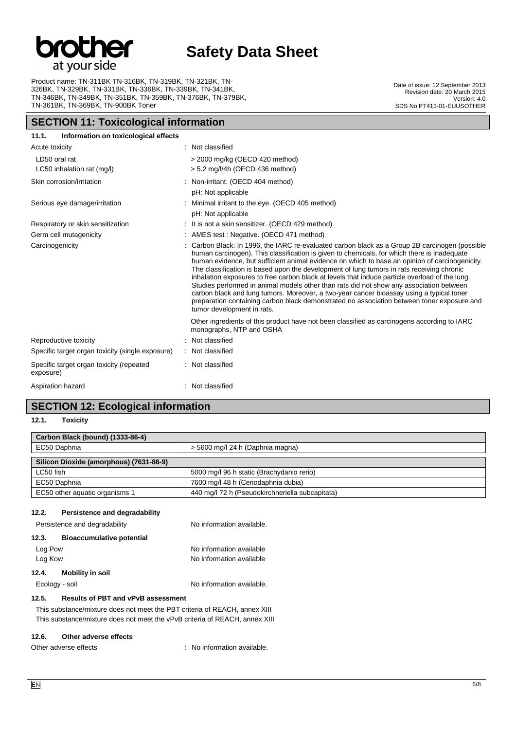

Product name: TN-311BK TN-316BK, TN-319BK, TN-321BK, TN-326BK, TN-329BK, TN-331BK, TN-336BK, TN-339BK, TN-341BK, TN-346BK, TN-349BK, TN-351BK, TN-359BK, TN-376BK, TN-379BK, TN-361BK, TN-369BK, TN-900BK Toner

## **SECTION 11: Toxicological information**

Date of issue: 12 September 2013 Revision date: 20 March 2015 Version: 4.0 SDS No:PT413-01-EUUSOTHER

| 11.1.<br>Information on toxicological effects         |                                                                                                                                                                                                                                                                                                                                                                                                                                                                                                                                                                                                                                                                                                                                                                                                                 |
|-------------------------------------------------------|-----------------------------------------------------------------------------------------------------------------------------------------------------------------------------------------------------------------------------------------------------------------------------------------------------------------------------------------------------------------------------------------------------------------------------------------------------------------------------------------------------------------------------------------------------------------------------------------------------------------------------------------------------------------------------------------------------------------------------------------------------------------------------------------------------------------|
| Acute toxicity                                        | : Not classified                                                                                                                                                                                                                                                                                                                                                                                                                                                                                                                                                                                                                                                                                                                                                                                                |
| LD50 oral rat<br>LC50 inhalation rat (mg/l)           | $>$ 2000 mg/kg (OECD 420 method)<br>$> 5.2$ mg/l/4h (OECD 436 method)                                                                                                                                                                                                                                                                                                                                                                                                                                                                                                                                                                                                                                                                                                                                           |
| Skin corrosion/irritation                             | : Non-irritant. (OECD 404 method)<br>pH: Not applicable                                                                                                                                                                                                                                                                                                                                                                                                                                                                                                                                                                                                                                                                                                                                                         |
| Serious eye damage/irritation                         | : Minimal irritant to the eye. (OECD 405 method)<br>pH: Not applicable                                                                                                                                                                                                                                                                                                                                                                                                                                                                                                                                                                                                                                                                                                                                          |
| Respiratory or skin sensitization                     | : It is not a skin sensitizer. (OECD 429 method)                                                                                                                                                                                                                                                                                                                                                                                                                                                                                                                                                                                                                                                                                                                                                                |
| Germ cell mutagenicity                                | : AMES test : Negative. (OECD 471 method)                                                                                                                                                                                                                                                                                                                                                                                                                                                                                                                                                                                                                                                                                                                                                                       |
| Carcinogenicity                                       | Carbon Black: In 1996, the IARC re-evaluated carbon black as a Group 2B carcinogen (possible<br>human carcinogen). This classification is given to chemicals, for which there is inadequate<br>human evidence, but sufficient animal evidence on which to base an opinion of carcinogenicity.<br>The classification is based upon the development of lung tumors in rats receiving chronic<br>inhalation exposures to free carbon black at levels that induce particle overload of the lung.<br>Studies performed in animal models other than rats did not show any association between<br>carbon black and lung tumors. Moreover, a two-year cancer bioassay using a typical toner<br>preparation containing carbon black demonstrated no association between toner exposure and<br>tumor development in rats. |
|                                                       | Other ingredients of this product have not been classified as carcinogens according to IARC<br>monographs, NTP and OSHA                                                                                                                                                                                                                                                                                                                                                                                                                                                                                                                                                                                                                                                                                         |
| Reproductive toxicity                                 | : Not classified                                                                                                                                                                                                                                                                                                                                                                                                                                                                                                                                                                                                                                                                                                                                                                                                |
| Specific target organ toxicity (single exposure)      | : Not classified                                                                                                                                                                                                                                                                                                                                                                                                                                                                                                                                                                                                                                                                                                                                                                                                |
| Specific target organ toxicity (repeated<br>exposure) | : Not classified                                                                                                                                                                                                                                                                                                                                                                                                                                                                                                                                                                                                                                                                                                                                                                                                |
| Aspiration hazard                                     | : Not classified                                                                                                                                                                                                                                                                                                                                                                                                                                                                                                                                                                                                                                                                                                                                                                                                |

# **SECTION 12: Ecological information**

**12.1. Toxicity**

### **Carbon Black (bound) (1333-86-4)**

| EC50 Daphnia                            | > 5600 mg/l 24 h (Daphnia magna)                |  |
|-----------------------------------------|-------------------------------------------------|--|
| Silicon Dioxide (amorphous) (7631-86-9) |                                                 |  |
| LC50 fish                               | 5000 mg/l 96 h static (Brachydanio rerio)       |  |
| EC50 Daphnia                            | 7600 mg/l 48 h (Ceriodaphnia dubia)             |  |
| EC50 other aquatic organisms 1          | 440 mg/l 72 h (Pseudokirchneriella subcapitata) |  |

### **12.2. Persistence and degradability**

| Persistence and degradability |                                  | No information available.                            |
|-------------------------------|----------------------------------|------------------------------------------------------|
| 12.3.                         | <b>Bioaccumulative potential</b> |                                                      |
| Log Pow<br>Log Kow            |                                  | No information available<br>No information available |
| 12.4.                         | <b>Mobility in soil</b>          |                                                      |
| Ecology - soil                |                                  | No information available.                            |

### **12.5. Results of PBT and vPvB assessment**

This substance/mixture does not meet the PBT criteria of REACH, annex XIII This substance/mixture does not meet the vPvB criteria of REACH, annex XIII

### **12.6. Other adverse effects**

Other adverse effects in the state of the state of the state of the state of the state of the state of the state of the state of the state of the state of the state of the state of the state of the state of the state of th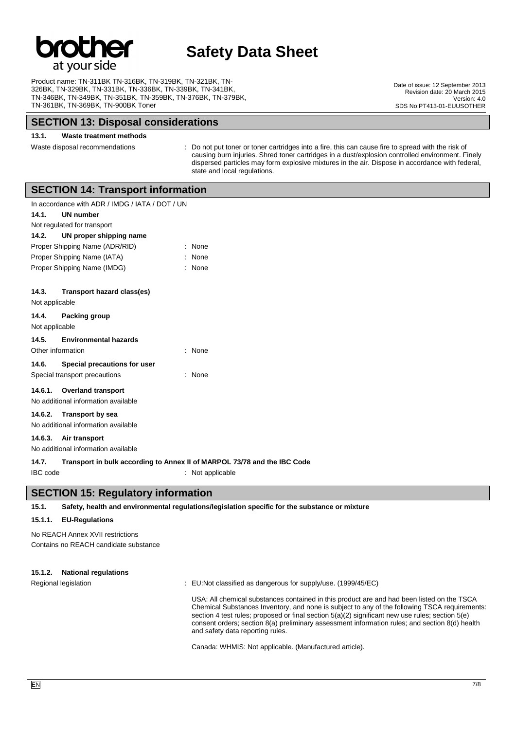

Product name: TN-311BK TN-316BK, TN-319BK, TN-321BK, TN-326BK, TN-329BK, TN-331BK, TN-336BK, TN-339BK, TN-341BK, TN-346BK, TN-349BK, TN-351BK, TN-359BK, TN-376BK, TN-379BK, TN-361BK, TN-369BK, TN-900BK Toner

## **SECTION 13: Disposal considerations**

### **13.1. Waste treatment methods**

Waste disposal recommendations : Do not put toner or toner cartridges into a fire, this can cause fire to spread with the risk of causing burn injuries. Shred toner cartridges in a dust/explosion controlled environment. Finely dispersed particles may form explosive mixtures in the air. Dispose in accordance with federal, state and local regulations.

## **SECTION 14: Transport information**

|                                        | In accordance with ADR / IMDG / IATA / DOT / UN |        |  |  |
|----------------------------------------|-------------------------------------------------|--------|--|--|
| 14.1.                                  | <b>UN number</b>                                |        |  |  |
|                                        | Not regulated for transport                     |        |  |  |
| 14.2.                                  | UN proper shipping name                         |        |  |  |
| Proper Shipping Name (ADR/RID)<br>None |                                                 |        |  |  |
| Proper Shipping Name (IATA)<br>None    |                                                 |        |  |  |
| Proper Shipping Name (IMDG)            |                                                 | : None |  |  |
|                                        |                                                 |        |  |  |
| 14.3.                                  | Transport hazard class(es)                      |        |  |  |
| Not applicable                         |                                                 |        |  |  |
| 14.4.                                  | Packing group                                   |        |  |  |
| Not applicable                         |                                                 |        |  |  |
| 14.5.                                  | <b>Environmental hazards</b>                    |        |  |  |
| Other information<br>: None            |                                                 |        |  |  |
| 14.6.                                  | Special precautions for user                    |        |  |  |
| Special transport precautions<br>None  |                                                 |        |  |  |
|                                        | 14.6.1. Overland transport                      |        |  |  |
| No additional information available    |                                                 |        |  |  |
| 14.6.2.                                | <b>Transport by sea</b>                         |        |  |  |
|                                        | No additional information available             |        |  |  |
|                                        |                                                 |        |  |  |

**14.6.3. Air transport** No additional information available

### **14.7. Transport in bulk according to Annex II of MARPOL 73/78 and the IBC Code**

IBC code : Not applicable

## **SECTION 15: Regulatory information**

**15.1. Safety, health and environmental regulations/legislation specific for the substance or mixture**

### **15.1.1. EU-Regulations**

No REACH Annex XVII restrictions Contains no REACH candidate substance

### **15.1.2. National regulations**

Regional legislation : EU:Not classified as dangerous for supply/use. (1999/45/EC)

USA: All chemical substances contained in this product are and had been listed on the TSCA Chemical Substances Inventory, and none is subject to any of the following TSCA requirements: section 4 test rules; proposed or final section 5(a)(2) significant new use rules; section 5(e) consent orders; section 8(a) preliminary assessment information rules; and section 8(d) health and safety data reporting rules.

Canada: WHMIS: Not applicable. (Manufactured article).

Date of issue: 12 September 2013 Revision date: 20 March 2015 Version: 4.0 SDS No: PT413-01-EUUSOTHER